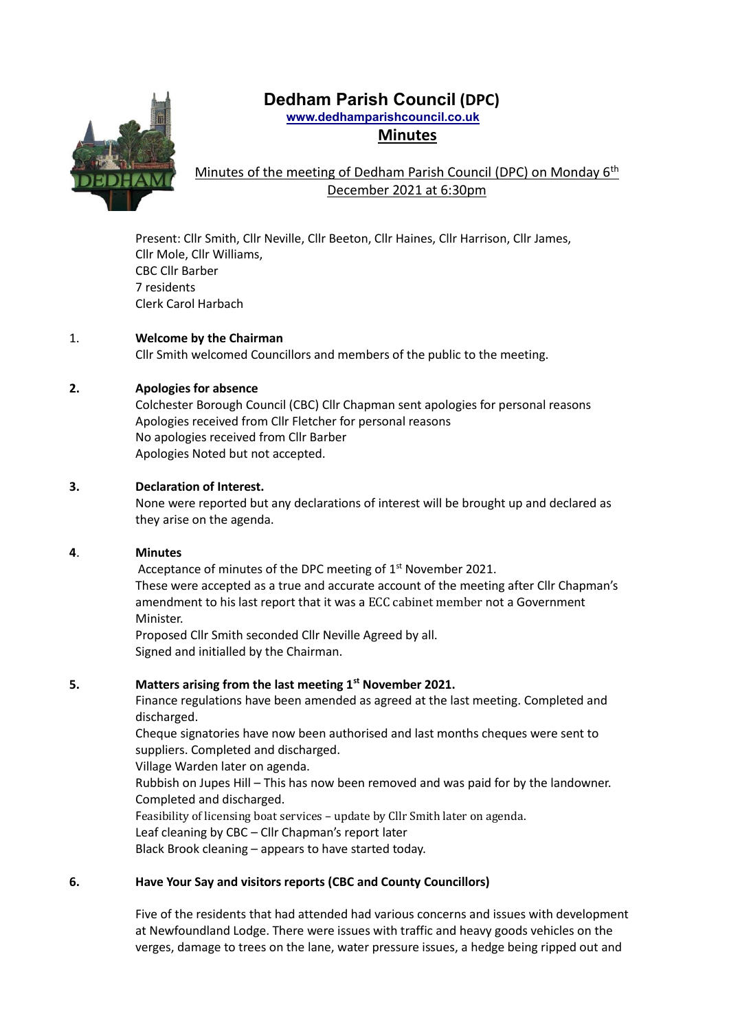# **Dedham Parish Council (DPC)**

 **www.dedhamparishcouncil.co.uk Minutes**



## Minutes of the meeting of Dedham Parish Council (DPC) on Monday 6<sup>th</sup> December 2021 at 6:30pm

Present: Cllr Smith, Cllr Neville, Cllr Beeton, Cllr Haines, Cllr Harrison, Cllr James, Cllr Mole, Cllr Williams, CBC Cllr Barber 7 residents Clerk Carol Harbach

## 1. **Welcome by the Chairman**

Cllr Smith welcomed Councillors and members of the public to the meeting.

## **2. Apologies for absence**

Colchester Borough Council (CBC) Cllr Chapman sent apologies for personal reasons Apologies received from Cllr Fletcher for personal reasons No apologies received from Cllr Barber Apologies Noted but not accepted.

## **3. Declaration of Interest.**

None were reported but any declarations of interest will be brought up and declared as they arise on the agenda.

## **4**. **Minutes**

Acceptance of minutes of the DPC meeting of 1<sup>st</sup> November 2021. These were accepted as a true and accurate account of the meeting after Cllr Chapman's amendment to his last report that it was a ECC cabinet member not a Government Minister.

Proposed Cllr Smith seconded Cllr Neville Agreed by all. Signed and initialled by the Chairman.

## **5. Matters arising from the last meeting 1st November 2021.**

Finance regulations have been amended as agreed at the last meeting. Completed and discharged.

Cheque signatories have now been authorised and last months cheques were sent to suppliers. Completed and discharged.

Village Warden later on agenda.

Rubbish on Jupes Hill – This has now been removed and was paid for by the landowner. Completed and discharged.

Feasibility of licensing boat services – update by Cllr Smith later on agenda. Leaf cleaning by CBC – Cllr Chapman's report later

Black Brook cleaning – appears to have started today.

## **6. Have Your Say and visitors reports (CBC and County Councillors)**

Five of the residents that had attended had various concerns and issues with development at Newfoundland Lodge. There were issues with traffic and heavy goods vehicles on the verges, damage to trees on the lane, water pressure issues, a hedge being ripped out and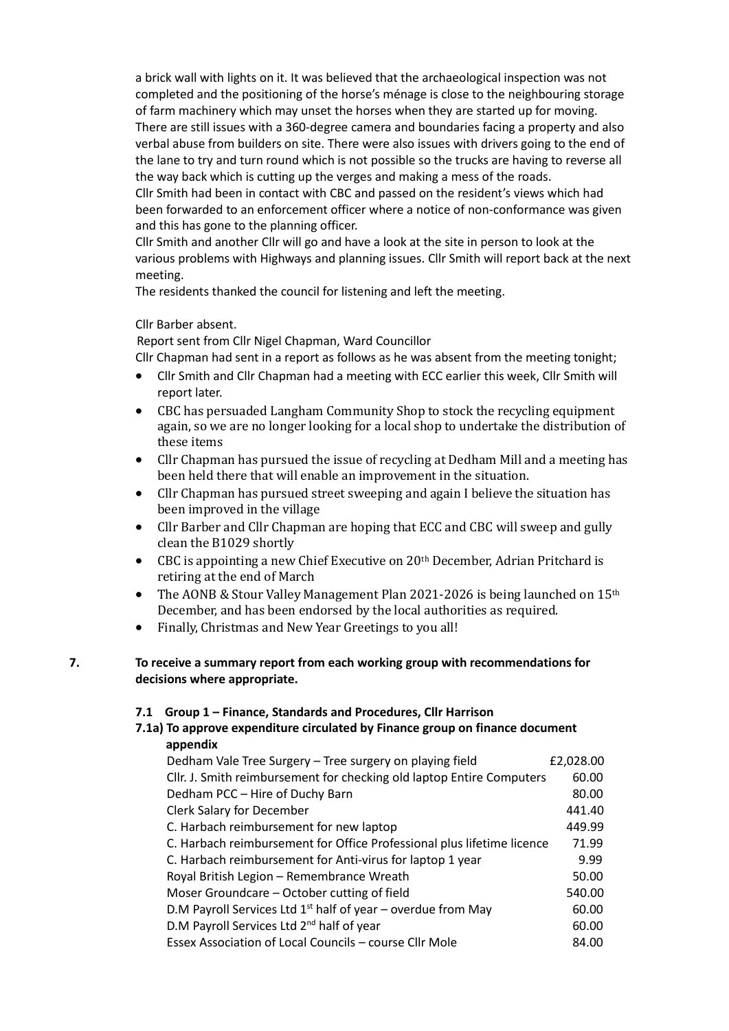a brick wall with lights on it. It was believed that the archaeological inspection was not completed and the positioning of the horse's ménage is close to the neighbouring storage of farm machinery which may unset the horses when they are started up for moving. There are still issues with a 360-degree camera and boundaries facing a property and also verbal abuse from builders on site. There were also issues with drivers going to the end of the lane to try and turn round which is not possible so the trucks are having to reverse all the way back which is cutting up the verges and making a mess of the roads.

Cllr Smith had been in contact with CBC and passed on the resident's views which had been forwarded to an enforcement officer where a notice of non-conformance was given and this has gone to the planning officer.

Cllr Smith and another Cllr will go and have a look at the site in person to look at the various problems with Highways and planning issues. Cllr Smith will report back at the next meeting.

The residents thanked the council for listening and left the meeting.

## Cllr Barber absent.

Report sent from Cllr Nigel Chapman, Ward Councillor

Cllr Chapman had sent in a report as follows as he was absent from the meeting tonight;

- Cllr Smith and Cllr Chapman had a meeting with ECC earlier this week, Cllr Smith will report later.
- CBC has persuaded Langham Community Shop to stock the recycling equipment again, so we are no longer looking for a local shop to undertake the distribution of these items
- Cllr Chapman has pursued the issue of recycling at Dedham Mill and a meeting has been held there that will enable an improvement in the situation.
- Cllr Chapman has pursued street sweeping and again I believe the situation has been improved in the village
- Cllr Barber and Cllr Chapman are hoping that ECC and CBC will sweep and gully clean the B1029 shortly
- CBC is appointing a new Chief Executive on 20th December, Adrian Pritchard is retiring at the end of March
- The AONB & Stour Valley Management Plan 2021-2026 is being launched on 15th December, and has been endorsed by the local authorities as required.
- Finally, Christmas and New Year Greetings to you all!

## **7. To receive a summary report from each working group with recommendations for decisions where appropriate.**

## **7.1 Group 1 – Finance, Standards and Procedures, Cllr Harrison**

## **7.1a) To approve expenditure circulated by Finance group on finance document appendix**

| Dedham Vale Tree Surgery - Tree surgery on playing field               | £2,028.00 |
|------------------------------------------------------------------------|-----------|
| Cllr. J. Smith reimbursement for checking old laptop Entire Computers  | 60.00     |
| Dedham PCC - Hire of Duchy Barn                                        | 80.00     |
| <b>Clerk Salary for December</b>                                       | 441.40    |
| C. Harbach reimbursement for new laptop                                | 449.99    |
| C. Harbach reimbursement for Office Professional plus lifetime licence | 71.99     |
| C. Harbach reimbursement for Anti-virus for laptop 1 year              | 9.99      |
| Royal British Legion - Remembrance Wreath                              | 50.00     |
| Moser Groundcare – October cutting of field                            | 540.00    |
| D.M Payroll Services Ltd $1st$ half of year – overdue from May         | 60.00     |
| D.M Payroll Services Ltd 2 <sup>nd</sup> half of year                  | 60.00     |
| Essex Association of Local Councils - course Cllr Mole                 | 84.00     |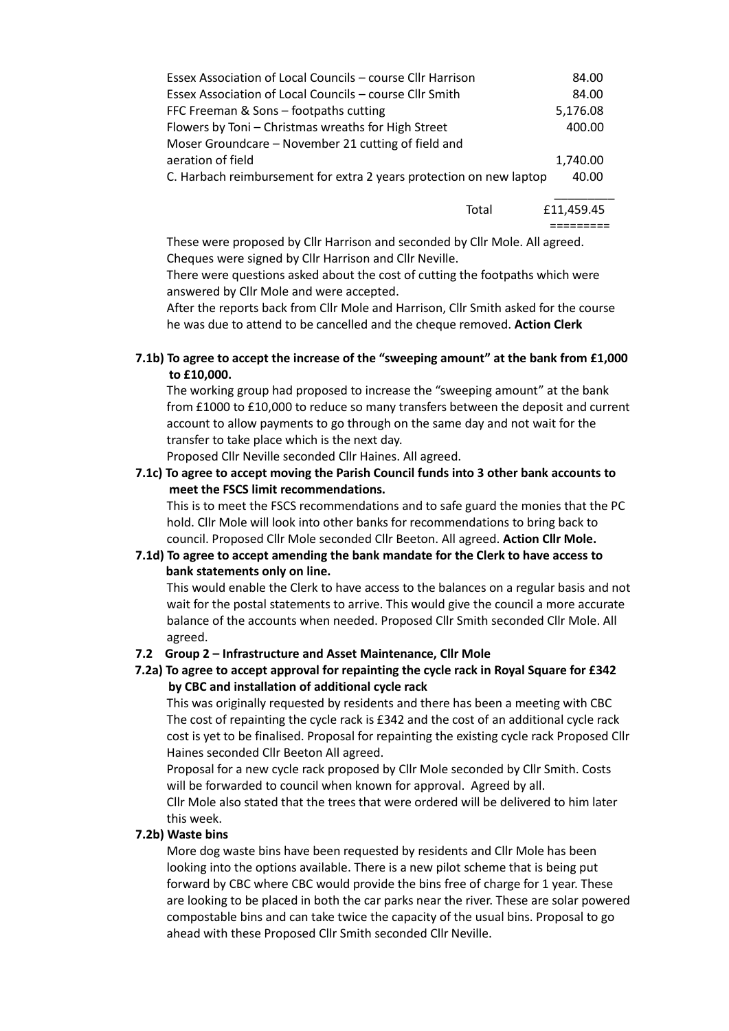| Essex Association of Local Councils – course Cllr Harrison          | 84.00      |
|---------------------------------------------------------------------|------------|
| Essex Association of Local Councils – course Cllr Smith             | 84.00      |
| FFC Freeman & Sons - footpaths cutting                              | 5,176.08   |
| Flowers by Toni - Christmas wreaths for High Street                 | 400.00     |
| Moser Groundcare – November 21 cutting of field and                 |            |
| aeration of field                                                   | 1,740.00   |
| C. Harbach reimbursement for extra 2 years protection on new laptop | 40.00      |
|                                                                     |            |
| Total                                                               | £11.459.45 |

=========

These were proposed by Cllr Harrison and seconded by Cllr Mole. All agreed. Cheques were signed by Cllr Harrison and Cllr Neville.

There were questions asked about the cost of cutting the footpaths which were answered by Cllr Mole and were accepted.

After the reports back from Cllr Mole and Harrison, Cllr Smith asked for the course he was due to attend to be cancelled and the cheque removed. **Action Clerk**

**7.1b) To agree to accept the increase of the "sweeping amount" at the bank from £1,000 to £10,000.**

The working group had proposed to increase the "sweeping amount" at the bank from £1000 to £10,000 to reduce so many transfers between the deposit and current account to allow payments to go through on the same day and not wait for the transfer to take place which is the next day.

Proposed Cllr Neville seconded Cllr Haines. All agreed.

**7.1c) To agree to accept moving the Parish Council funds into 3 other bank accounts to meet the FSCS limit recommendations.**

This is to meet the FSCS recommendations and to safe guard the monies that the PC hold. Cllr Mole will look into other banks for recommendations to bring back to council. Proposed Cllr Mole seconded Cllr Beeton. All agreed. **Action Cllr Mole.**

## **7.1d) To agree to accept amending the bank mandate for the Clerk to have access to bank statements only on line.**

This would enable the Clerk to have access to the balances on a regular basis and not wait for the postal statements to arrive. This would give the council a more accurate balance of the accounts when needed. Proposed Cllr Smith seconded Cllr Mole. All agreed.

## **7.2 Group 2 – Infrastructure and Asset Maintenance, Cllr Mole**

## **7.2a) To agree to accept approval for repainting the cycle rack in Royal Square for £342 by CBC and installation of additional cycle rack**

This was originally requested by residents and there has been a meeting with CBC The cost of repainting the cycle rack is £342 and the cost of an additional cycle rack cost is yet to be finalised. Proposal for repainting the existing cycle rack Proposed Cllr Haines seconded Cllr Beeton All agreed.

 Proposal for a new cycle rack proposed by Cllr Mole seconded by Cllr Smith. Costs will be forwarded to council when known for approval. Agreed by all.

 Cllr Mole also stated that the trees that were ordered will be delivered to him later this week.

## **7.2b) Waste bins**

More dog waste bins have been requested by residents and Cllr Mole has been looking into the options available. There is a new pilot scheme that is being put forward by CBC where CBC would provide the bins free of charge for 1 year. These are looking to be placed in both the car parks near the river. These are solar powered compostable bins and can take twice the capacity of the usual bins. Proposal to go ahead with these Proposed Cllr Smith seconded Cllr Neville.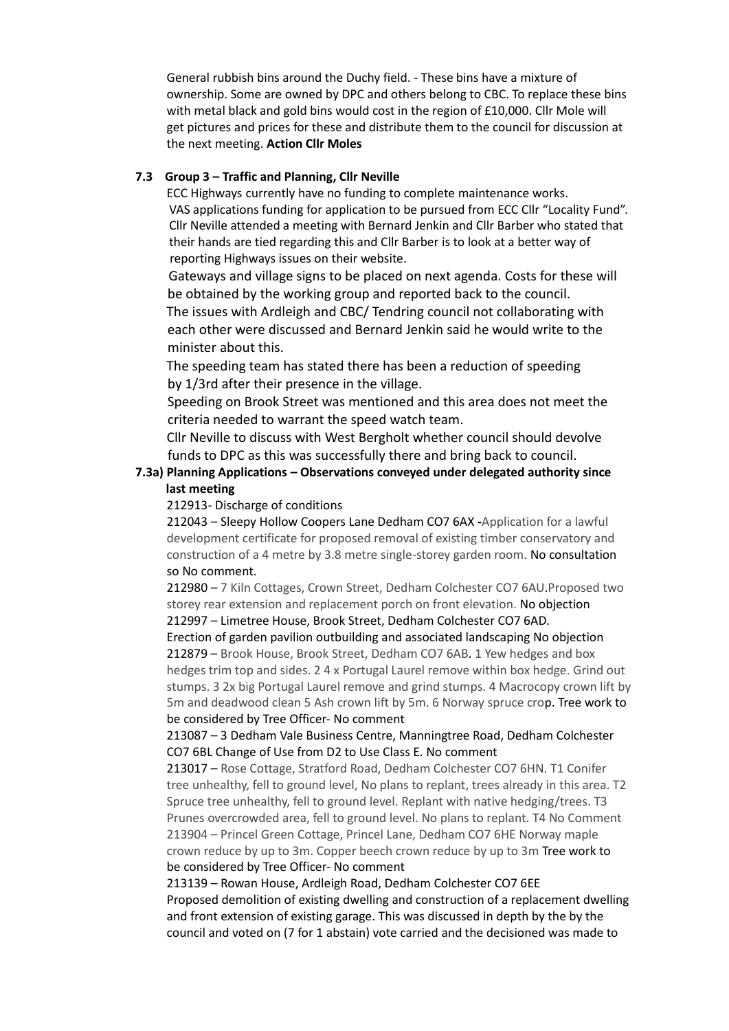General rubbish bins around the Duchy field. - These bins have a mixture of ownership. Some are owned by DPC and others belong to CBC. To replace these bins with metal black and gold bins would cost in the region of £10,000. Cllr Mole will get pictures and prices for these and distribute them to the council for discussion at the next meeting. **Action Cllr Moles**

## **7.3 Group 3 – Traffic and Planning, Cllr Neville**

ECC Highways currently have no funding to complete maintenance works.VAS applications funding for application to be pursued from ECC Cllr "Locality Fund". Cllr Neville attended a meeting with Bernard Jenkin and Cllr Barber who stated that their hands are tied regarding this and Cllr Barber is to look at a better way of reporting Highways issues on their website.

 Gateways and village signs to be placed on next agenda. Costs for these will be obtained by the working group and reported back to the council.

 The issues with Ardleigh and CBC/ Tendring council not collaborating with each other were discussed and Bernard Jenkin said he would write to the minister about this.

 The speeding team has stated there has been a reduction of speeding by 1/3rd after their presence in the village.

 Speeding on Brook Street was mentioned and this area does not meet the criteria needed to warrant the speed watch team.

 Cllr Neville to discuss with West Bergholt whether council should devolve funds to DPC as this was successfully there and bring back to council.

## **7.3a) Planning Applications – Observations conveyed under delegated authority since last meeting**

## 212913- Discharge of conditions

212043 – Sleepy Hollow Coopers Lane Dedham CO7 6AX **-**Application for a lawful development certificate for proposed removal of existing timber conservatory and construction of a 4 metre by 3.8 metre single-storey garden room. No consultation so No comment.

212980 – 7 Kiln Cottages, Crown Street, Dedham Colchester CO7 6AU.Proposed two storey rear extension and replacement porch on front elevation. No objection

212997 – Limetree House, Brook Street, Dedham Colchester CO7 6AD.

Erection of garden pavilion outbuilding and associated landscaping No objection 212879 – Brook House, Brook Street, Dedham CO7 6AB. 1 Yew hedges and box hedges trim top and sides. 2 4 x Portugal Laurel remove within box hedge. Grind out stumps. 3 2x big Portugal Laurel remove and grind stumps. 4 Macrocopy crown lift by 5m and deadwood clean 5 Ash crown lift by 5m. 6 Norway spruce crop. Tree work to be considered by Tree Officer- No comment

213087 – 3 Dedham Vale Business Centre, Manningtree Road, Dedham Colchester CO7 6BL Change of Use from D2 to Use Class E. No comment

213017 – Rose Cottage, Stratford Road, Dedham Colchester CO7 6HN. T1 Conifer tree unhealthy, fell to ground level, No plans to replant, trees already in this area. T2 Spruce tree unhealthy, fell to ground level. Replant with native hedging/trees. T3 Prunes overcrowded area, fell to ground level. No plans to replant. T4 No Comment 213904 – Princel Green Cottage, Princel Lane, Dedham CO7 6HE Norway maple crown reduce by up to 3m. Copper beech crown reduce by up to 3m Tree work to be considered by Tree Officer- No comment

213139 – Rowan House, Ardleigh Road, Dedham Colchester CO7 6EE Proposed demolition of existing dwelling and construction of a replacement dwelling and front extension of existing garage. This was discussed in depth by the by the council and voted on (7 for 1 abstain) vote carried and the decisioned was made to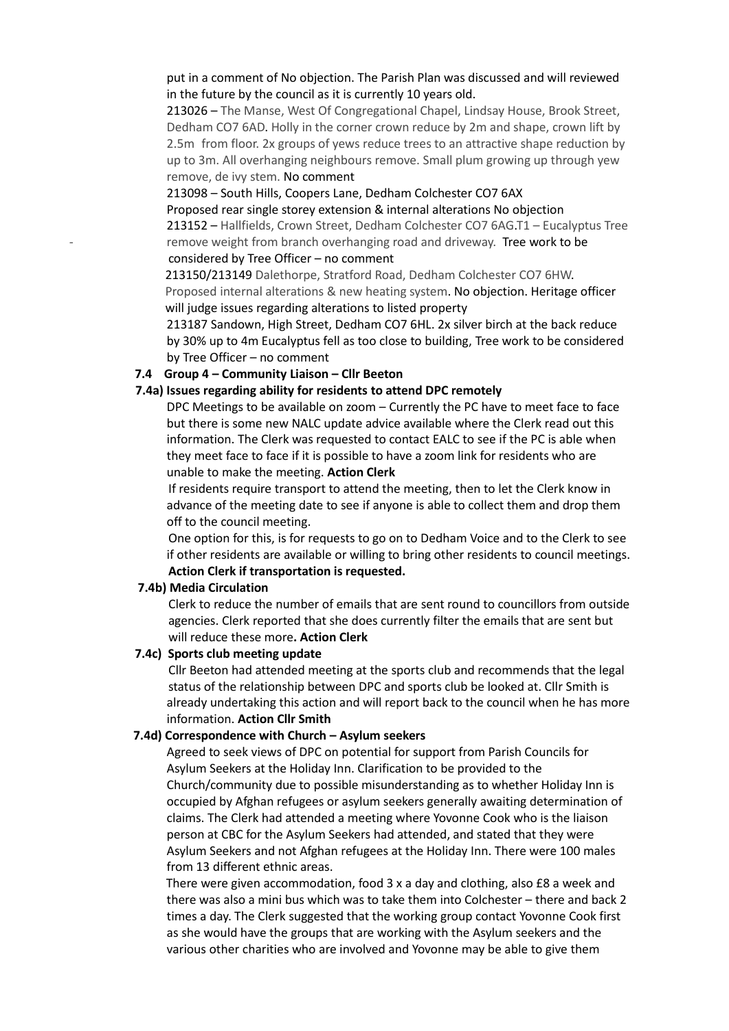put in a comment of No objection. The Parish Plan was discussed and will reviewed in the future by the council as it is currently 10 years old.

213026 – The Manse, West Of Congregational Chapel, Lindsay House, Brook Street, Dedham CO7 6AD. Holly in the corner crown reduce by 2m and shape, crown lift by 2.5m from floor. 2x groups of yews reduce trees to an attractive shape reduction by up to 3m. All overhanging neighbours remove. Small plum growing up through yew remove, de ivy stem. No comment

#### 213098 – South Hills, Coopers Lane, Dedham Colchester CO7 6AX

 Proposed rear single storey extension & internal alterations No objection 213152 – Hallfields, Crown Street, Dedham Colchester CO7 6AG.T1 – Eucalyptus Tree remove weight from branch overhanging road and driveway. Tree work to be considered by Tree Officer – no comment

 213150/213149 Dalethorpe, Stratford Road, Dedham Colchester CO7 6HW. Proposed internal alterations & new heating system. No objection. Heritage officer will judge issues regarding alterations to listed property

213187 Sandown, High Street, Dedham CO7 6HL. 2x silver birch at the back reduce by 30% up to 4m Eucalyptus fell as too close to building, Tree work to be considered by Tree Officer – no comment

#### **7.4 Group 4 – Community Liaison – Cllr Beeton**

#### **7.4a) Issues regarding ability for residents to attend DPC remotely**

DPC Meetings to be available on zoom – Currently the PC have to meet face to face but there is some new NALC update advice available where the Clerk read out this information. The Clerk was requested to contact EALC to see if the PC is able when they meet face to face if it is possible to have a zoom link for residents who are unable to make the meeting. **Action Clerk**

 If residents require transport to attend the meeting, then to let the Clerk know in advance of the meeting date to see if anyone is able to collect them and drop them off to the council meeting.

 One option for this, is for requests to go on to Dedham Voice and to the Clerk to see if other residents are available or willing to bring other residents to council meetings. **Action Clerk if transportation is requested.**

#### **7.4b) Media Circulation**

Clerk to reduce the number of emails that are sent round to councillors from outside agencies. Clerk reported that she does currently filter the emails that are sent but will reduce these more**. Action Clerk**

#### **7.4c) Sports club meeting update**

Cllr Beeton had attended meeting at the sports club and recommends that the legal status of the relationship between DPC and sports club be looked at. Cllr Smith is already undertaking this action and will report back to the council when he has more information. **Action Cllr Smith**

#### **7.4d) Correspondence with Church – Asylum seekers**

Agreed to seek views of DPC on potential for support from Parish Councils for Asylum Seekers at the Holiday Inn. Clarification to be provided to the Church/community due to possible misunderstanding as to whether Holiday Inn is occupied by Afghan refugees or asylum seekers generally awaiting determination of claims. The Clerk had attended a meeting where Yovonne Cook who is the liaison person at CBC for the Asylum Seekers had attended, and stated that they were Asylum Seekers and not Afghan refugees at the Holiday Inn. There were 100 males from 13 different ethnic areas.

 There were given accommodation, food 3 x a day and clothing, also £8 a week and there was also a mini bus which was to take them into Colchester – there and back 2 times a day. The Clerk suggested that the working group contact Yovonne Cook first as she would have the groups that are working with the Asylum seekers and the various other charities who are involved and Yovonne may be able to give them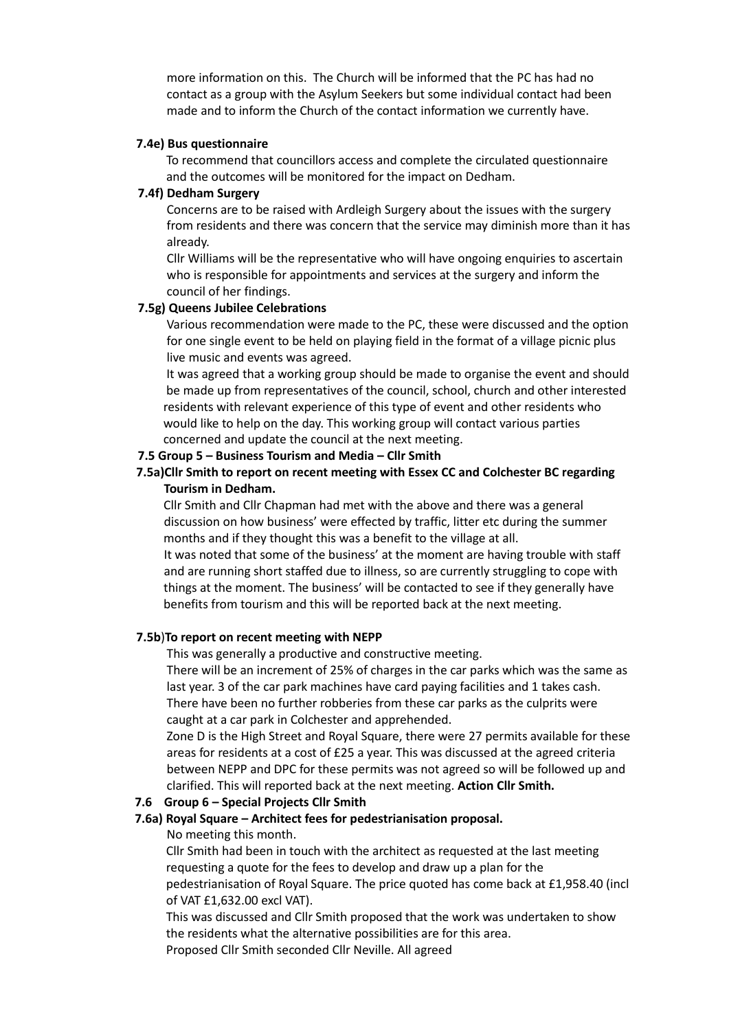more information on this. The Church will be informed that the PC has had no contact as a group with the Asylum Seekers but some individual contact had been made and to inform the Church of the contact information we currently have.

#### **7.4e) Bus questionnaire**

To recommend that councillors access and complete the circulated questionnaire and the outcomes will be monitored for the impact on Dedham.

### **7.4f) Dedham Surgery**

 Concerns are to be raised with Ardleigh Surgery about the issues with the surgery from residents and there was concern that the service may diminish more than it has already.

 Cllr Williams will be the representative who will have ongoing enquiries to ascertain who is responsible for appointments and services at the surgery and inform the council of her findings.

#### **7.5g) Queens Jubilee Celebrations**

 Various recommendation were made to the PC, these were discussed and the option for one single event to be held on playing field in the format of a village picnic plus live music and events was agreed.

It was agreed that a working group should be made to organise the event and should be made up from representatives of the council, school, church and other interested residents with relevant experience of this type of event and other residents who would like to help on the day. This working group will contact various parties concerned and update the council at the next meeting.

#### **7.5 Group 5 – Business Tourism and Media – Cllr Smith**

## **7.5a)Cllr Smith to report on recent meeting with Essex CC and Colchester BC regarding Tourism in Dedham.**

 Cllr Smith and Cllr Chapman had met with the above and there was a general discussion on how business' were effected by traffic, litter etc during the summer months and if they thought this was a benefit to the village at all.

 It was noted that some of the business' at the moment are having trouble with staff and are running short staffed due to illness, so are currently struggling to cope with things at the moment. The business' will be contacted to see if they generally have benefits from tourism and this will be reported back at the next meeting.

#### **7.5b**)**To report on recent meeting with NEPP**

This was generally a productive and constructive meeting.

There will be an increment of 25% of charges in the car parks which was the same as last year. 3 of the car park machines have card paying facilities and 1 takes cash. There have been no further robberies from these car parks as the culprits were caught at a car park in Colchester and apprehended.

Zone D is the High Street and Royal Square, there were 27 permits available for these areas for residents at a cost of £25 a year. This was discussed at the agreed criteria between NEPP and DPC for these permits was not agreed so will be followed up and clarified. This will reported back at the next meeting. **Action Cllr Smith.**

### **7.6 Group 6 – Special Projects Cllr Smith**

#### **7.6a) Royal Square – Architect fees for pedestrianisation proposal.**

#### No meeting this month.

Cllr Smith had been in touch with the architect as requested at the last meeting requesting a quote for the fees to develop and draw up a plan for the pedestrianisation of Royal Square. The price quoted has come back at £1,958.40 (incl of VAT £1,632.00 excl VAT).

This was discussed and Cllr Smith proposed that the work was undertaken to show the residents what the alternative possibilities are for this area. Proposed Cllr Smith seconded Cllr Neville. All agreed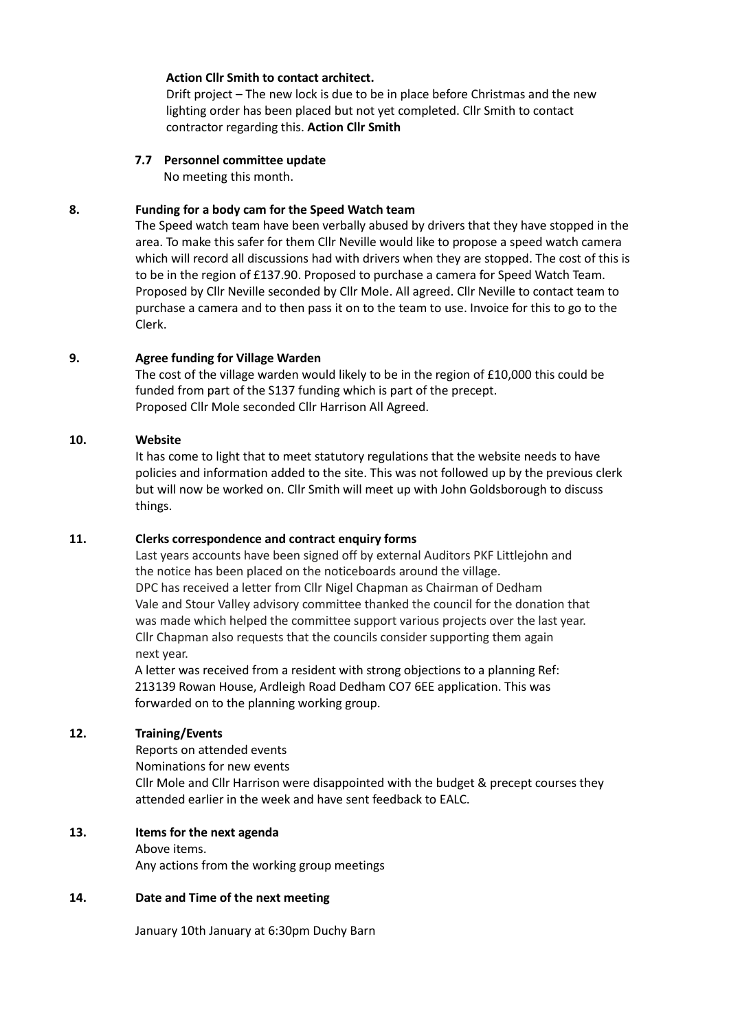## **Action Cllr Smith to contact architect.**

Drift project – The new lock is due to be in place before Christmas and the new lighting order has been placed but not yet completed. Cllr Smith to contact contractor regarding this. **Action Cllr Smith**

### **7.7 Personnel committee update**

No meeting this month.

### **8. Funding for a body cam for the Speed Watch team**

The Speed watch team have been verbally abused by drivers that they have stopped in the area. To make this safer for them Cllr Neville would like to propose a speed watch camera which will record all discussions had with drivers when they are stopped. The cost of this is to be in the region of £137.90. Proposed to purchase a camera for Speed Watch Team. Proposed by Cllr Neville seconded by Cllr Mole. All agreed. Cllr Neville to contact team to purchase a camera and to then pass it on to the team to use. Invoice for this to go to the Clerk.

### **9. Agree funding for Village Warden**

The cost of the village warden would likely to be in the region of £10,000 this could be funded from part of the S137 funding which is part of the precept. Proposed Cllr Mole seconded Cllr Harrison All Agreed.

### **10. Website**

It has come to light that to meet statutory regulations that the website needs to have policies and information added to the site. This was not followed up by the previous clerk but will now be worked on. Cllr Smith will meet up with John Goldsborough to discuss things.

#### **11. Clerks correspondence and contract enquiry forms**

Last years accounts have been signed off by external Auditors PKF Littlejohn and the notice has been placed on the noticeboards around the village. DPC has received a letter from Cllr Nigel Chapman as Chairman of Dedham Vale and Stour Valley advisory committee thanked the council for the donation that was made which helped the committee support various projects over the last year. Cllr Chapman also requests that the councils consider supporting them again next year.

 A letter was received from a resident with strong objections to a planning Ref: 213139 Rowan House, Ardleigh Road Dedham CO7 6EE application. This was forwarded on to the planning working group.

## **12. Training/Events**

Reports on attended events

Nominations for new events

Cllr Mole and Cllr Harrison were disappointed with the budget & precept courses they attended earlier in the week and have sent feedback to EALC.

## **13. Items for the next agenda**

Above items.

Any actions from the working group meetings

## **14. Date and Time of the next meeting**

January 10th January at 6:30pm Duchy Barn